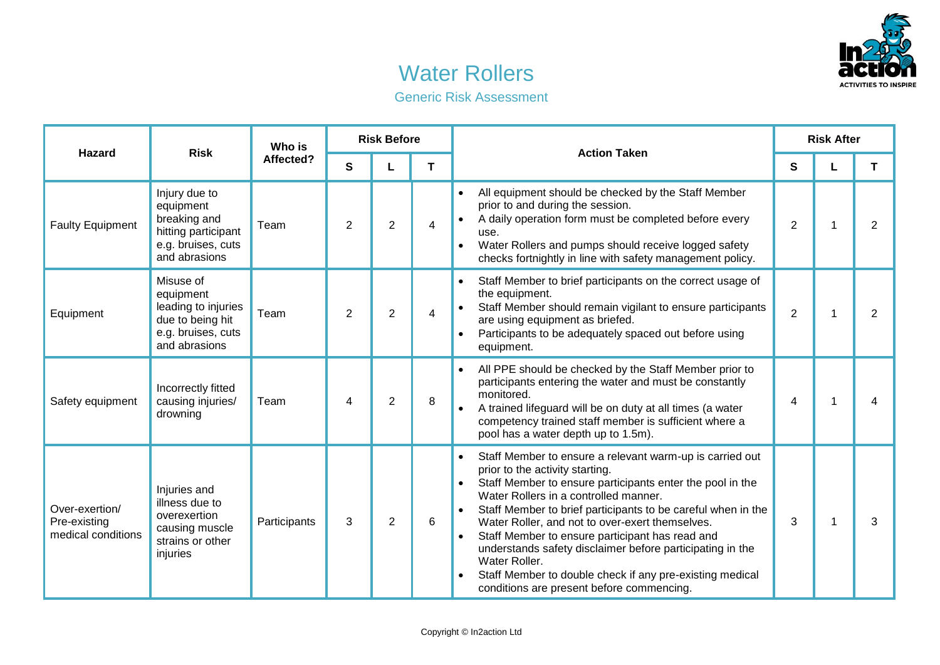

## Water Rollers

| <b>Generic Risk Assessment</b> |  |  |  |
|--------------------------------|--|--|--|
|--------------------------------|--|--|--|

| <b>Hazard</b>                                        | <b>Risk</b>                                                                                              | Who is<br>Affected? | <b>Risk Before</b> |                |   | <b>Action Taken</b>                                                                                                                                                                                                                                                                                                                                                                                                                                                                                                                                                         | <b>Risk After</b> |  |                |
|------------------------------------------------------|----------------------------------------------------------------------------------------------------------|---------------------|--------------------|----------------|---|-----------------------------------------------------------------------------------------------------------------------------------------------------------------------------------------------------------------------------------------------------------------------------------------------------------------------------------------------------------------------------------------------------------------------------------------------------------------------------------------------------------------------------------------------------------------------------|-------------------|--|----------------|
|                                                      |                                                                                                          |                     | S                  |                | т |                                                                                                                                                                                                                                                                                                                                                                                                                                                                                                                                                                             | S                 |  | T              |
| <b>Faulty Equipment</b>                              | Injury due to<br>equipment<br>breaking and<br>hitting participant<br>e.g. bruises, cuts<br>and abrasions | Team                | 2                  | $\overline{2}$ | 4 | All equipment should be checked by the Staff Member<br>$\bullet$<br>prior to and during the session.<br>A daily operation form must be completed before every<br>use.<br>Water Rollers and pumps should receive logged safety<br>checks fortnightly in line with safety management policy.                                                                                                                                                                                                                                                                                  | $\overline{2}$    |  | $\overline{2}$ |
| Equipment                                            | Misuse of<br>equipment<br>leading to injuries<br>due to being hit<br>e.g. bruises, cuts<br>and abrasions | Team                | 2                  | 2              | 4 | Staff Member to brief participants on the correct usage of<br>the equipment.<br>Staff Member should remain vigilant to ensure participants<br>are using equipment as briefed.<br>Participants to be adequately spaced out before using<br>equipment.                                                                                                                                                                                                                                                                                                                        | $\overline{2}$    |  | 2              |
| Safety equipment                                     | Incorrectly fitted<br>causing injuries/<br>drowning                                                      | Team                | 4                  | $\overline{2}$ | 8 | All PPE should be checked by the Staff Member prior to<br>participants entering the water and must be constantly<br>monitored.<br>A trained lifeguard will be on duty at all times (a water<br>competency trained staff member is sufficient where a<br>pool has a water depth up to 1.5m).                                                                                                                                                                                                                                                                                 | $\overline{4}$    |  | 4              |
| Over-exertion/<br>Pre-existing<br>medical conditions | Injuries and<br>illness due to<br>overexertion<br>causing muscle<br>strains or other<br>injuries         | Participants        | 3                  | $\overline{2}$ | 6 | Staff Member to ensure a relevant warm-up is carried out<br>prior to the activity starting.<br>Staff Member to ensure participants enter the pool in the<br>Water Rollers in a controlled manner.<br>Staff Member to brief participants to be careful when in the<br>Water Roller, and not to over-exert themselves.<br>Staff Member to ensure participant has read and<br>$\bullet$<br>understands safety disclaimer before participating in the<br>Water Roller.<br>Staff Member to double check if any pre-existing medical<br>conditions are present before commencing. | 3                 |  | 3              |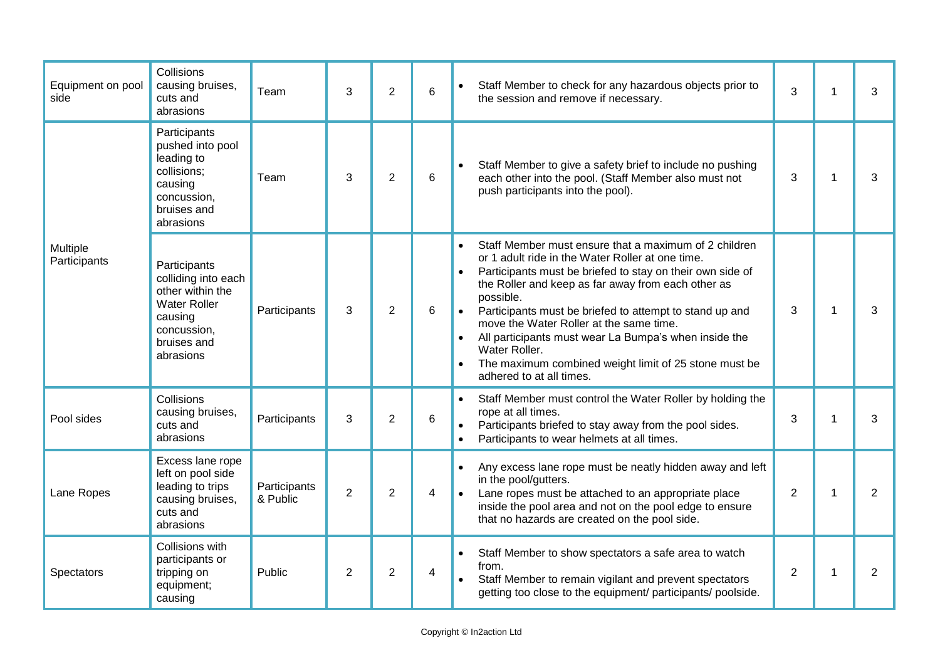| Equipment on pool<br>side | Collisions<br>causing bruises,<br>cuts and<br>abrasions                                                                              | Team                     | 3              | $\overline{2}$ | 6 | Staff Member to check for any hazardous objects prior to<br>$\bullet$<br>the session and remove if necessary.                                                                                                                                                                                                                                                                                                                                                                                                               | 3              | 1            | 3              |
|---------------------------|--------------------------------------------------------------------------------------------------------------------------------------|--------------------------|----------------|----------------|---|-----------------------------------------------------------------------------------------------------------------------------------------------------------------------------------------------------------------------------------------------------------------------------------------------------------------------------------------------------------------------------------------------------------------------------------------------------------------------------------------------------------------------------|----------------|--------------|----------------|
|                           | Participants<br>pushed into pool<br>leading to<br>collisions;<br>causing<br>concussion,<br>bruises and<br>abrasions                  | Team                     | 3              | $\overline{2}$ | 6 | Staff Member to give a safety brief to include no pushing<br>each other into the pool. (Staff Member also must not<br>push participants into the pool).                                                                                                                                                                                                                                                                                                                                                                     | 3              | 1            | 3              |
| Multiple<br>Participants  | Participants<br>colliding into each<br>other within the<br><b>Water Roller</b><br>causing<br>concussion,<br>bruises and<br>abrasions | Participants             | 3              | $\overline{2}$ | 6 | Staff Member must ensure that a maximum of 2 children<br>or 1 adult ride in the Water Roller at one time.<br>Participants must be briefed to stay on their own side of<br>the Roller and keep as far away from each other as<br>possible.<br>Participants must be briefed to attempt to stand up and<br>move the Water Roller at the same time.<br>All participants must wear La Bumpa's when inside the<br>$\bullet$<br>Water Roller.<br>The maximum combined weight limit of 25 stone must be<br>adhered to at all times. | 3              | $\mathbf{1}$ | 3              |
| Pool sides                | Collisions<br>causing bruises,<br>cuts and<br>abrasions                                                                              | Participants             | 3              | $\overline{2}$ | 6 | Staff Member must control the Water Roller by holding the<br>$\bullet$<br>rope at all times.<br>Participants briefed to stay away from the pool sides.<br>Participants to wear helmets at all times.                                                                                                                                                                                                                                                                                                                        | 3              | $\mathbf 1$  | 3              |
| Lane Ropes                | Excess lane rope<br>left on pool side<br>leading to trips<br>causing bruises,<br>cuts and<br>abrasions                               | Participants<br>& Public | $\overline{2}$ | $\overline{2}$ | 4 | Any excess lane rope must be neatly hidden away and left<br>$\bullet$<br>in the pool/gutters.<br>Lane ropes must be attached to an appropriate place<br>inside the pool area and not on the pool edge to ensure<br>that no hazards are created on the pool side.                                                                                                                                                                                                                                                            | $\overline{2}$ | $\mathbf{1}$ | $\overline{2}$ |
| Spectators                | Collisions with<br>participants or<br>tripping on<br>equipment;<br>causing                                                           | Public                   | $\overline{2}$ | $\overline{2}$ | 4 | Staff Member to show spectators a safe area to watch<br>$\bullet$<br>from.<br>Staff Member to remain vigilant and prevent spectators<br>getting too close to the equipment/ participants/ poolside.                                                                                                                                                                                                                                                                                                                         | 2              | $\mathbf{1}$ | $\overline{2}$ |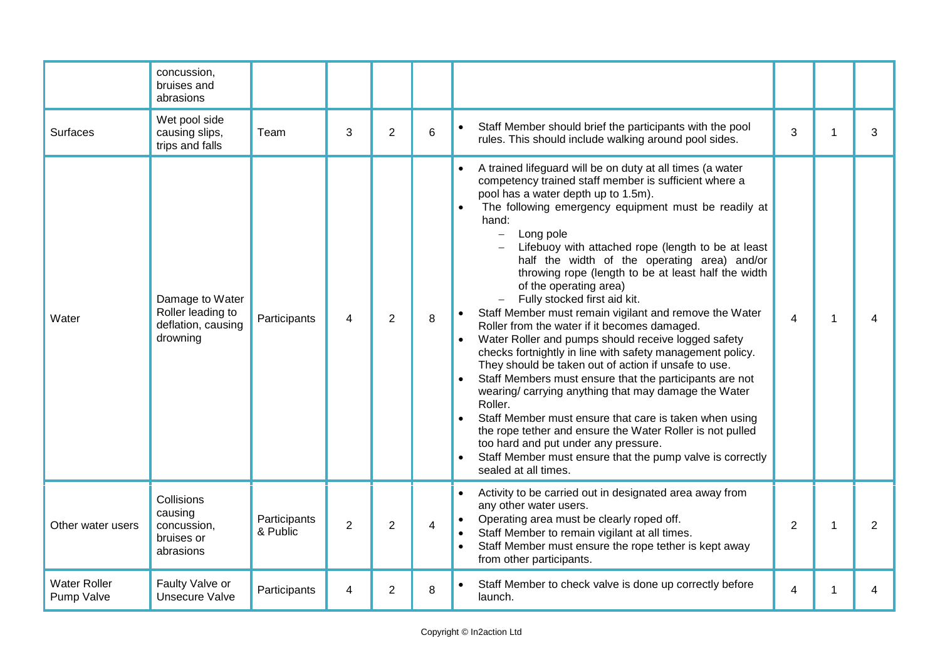|                                   | concussion,<br>bruises and<br>abrasions                                |                          |                |                |                |                                                                                                                                                                                                                                                                                                                                                                                                                                                                                                                                                                                                                                                                                                                                                                                                                                                                                                                                                                                                                                                                                                                                                                                          |                |   |                |
|-----------------------------------|------------------------------------------------------------------------|--------------------------|----------------|----------------|----------------|------------------------------------------------------------------------------------------------------------------------------------------------------------------------------------------------------------------------------------------------------------------------------------------------------------------------------------------------------------------------------------------------------------------------------------------------------------------------------------------------------------------------------------------------------------------------------------------------------------------------------------------------------------------------------------------------------------------------------------------------------------------------------------------------------------------------------------------------------------------------------------------------------------------------------------------------------------------------------------------------------------------------------------------------------------------------------------------------------------------------------------------------------------------------------------------|----------------|---|----------------|
| <b>Surfaces</b>                   | Wet pool side<br>causing slips,<br>trips and falls                     | Team                     | 3              | $\overline{2}$ | 6              | Staff Member should brief the participants with the pool<br>rules. This should include walking around pool sides.                                                                                                                                                                                                                                                                                                                                                                                                                                                                                                                                                                                                                                                                                                                                                                                                                                                                                                                                                                                                                                                                        | 3              | 1 | 3              |
| Water                             | Damage to Water<br>Roller leading to<br>deflation, causing<br>drowning | Participants             | 4              | $\overline{2}$ | 8              | A trained lifeguard will be on duty at all times (a water<br>$\bullet$<br>competency trained staff member is sufficient where a<br>pool has a water depth up to 1.5m).<br>The following emergency equipment must be readily at<br>hand:<br>Long pole<br>$\equiv$<br>Lifebuoy with attached rope (length to be at least<br>half the width of the operating area) and/or<br>throwing rope (length to be at least half the width<br>of the operating area)<br>Fully stocked first aid kit.<br>Staff Member must remain vigilant and remove the Water<br>Roller from the water if it becomes damaged.<br>Water Roller and pumps should receive logged safety<br>checks fortnightly in line with safety management policy.<br>They should be taken out of action if unsafe to use.<br>Staff Members must ensure that the participants are not<br>$\bullet$<br>wearing/carrying anything that may damage the Water<br>Roller.<br>Staff Member must ensure that care is taken when using<br>$\bullet$<br>the rope tether and ensure the Water Roller is not pulled<br>too hard and put under any pressure.<br>Staff Member must ensure that the pump valve is correctly<br>sealed at all times. | 4              | 1 |                |
| Other water users                 | Collisions<br>causing<br>concussion,<br>bruises or<br>abrasions        | Participants<br>& Public | $\overline{2}$ | $\overline{2}$ | $\overline{4}$ | Activity to be carried out in designated area away from<br>$\bullet$<br>any other water users.<br>Operating area must be clearly roped off.<br>$\bullet$<br>Staff Member to remain vigilant at all times.<br>$\bullet$<br>Staff Member must ensure the rope tether is kept away<br>from other participants.                                                                                                                                                                                                                                                                                                                                                                                                                                                                                                                                                                                                                                                                                                                                                                                                                                                                              | $\overline{2}$ |   | $\overline{2}$ |
| <b>Water Roller</b><br>Pump Valve | Faulty Valve or<br><b>Unsecure Valve</b>                               | Participants             | 4              | $\overline{c}$ | 8              | Staff Member to check valve is done up correctly before<br>launch.                                                                                                                                                                                                                                                                                                                                                                                                                                                                                                                                                                                                                                                                                                                                                                                                                                                                                                                                                                                                                                                                                                                       | 4              |   | 4              |